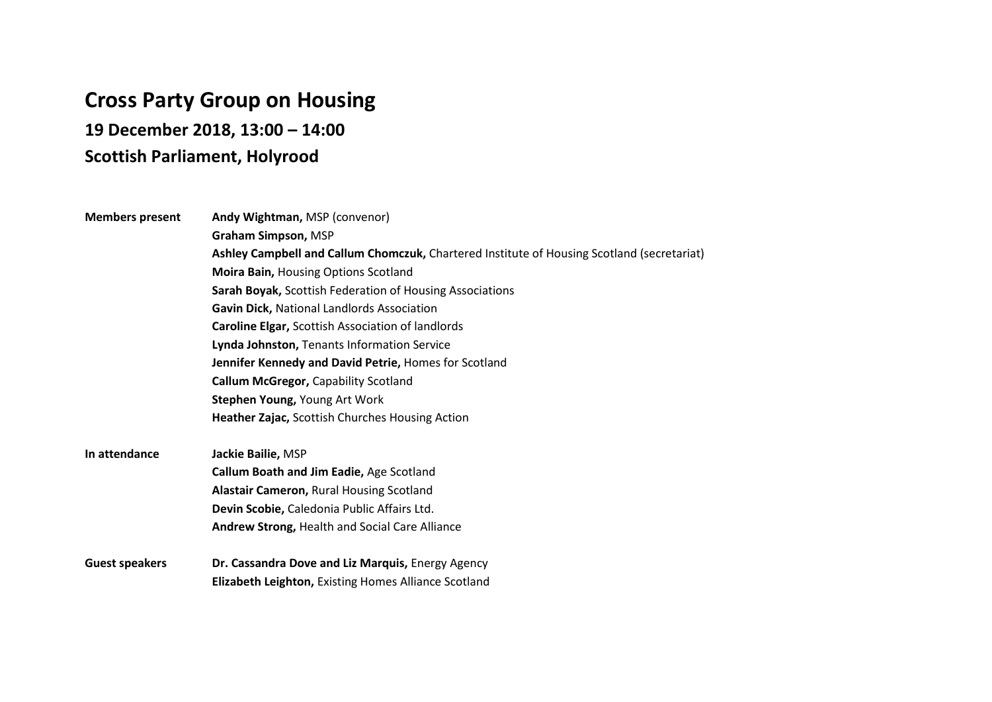## **Cross Party Group on Housing**

**19 December 2018, 13:00 – 14:00** 

## **Scottish Parliament, Holyrood**

| <b>Members present</b> | Andy Wightman, MSP (convenor)                                                              |
|------------------------|--------------------------------------------------------------------------------------------|
|                        | Graham Simpson, MSP                                                                        |
|                        | Ashley Campbell and Callum Chomczuk, Chartered Institute of Housing Scotland (secretariat) |
|                        | Moira Bain, Housing Options Scotland                                                       |
|                        | Sarah Boyak, Scottish Federation of Housing Associations                                   |
|                        | Gavin Dick, National Landlords Association                                                 |
|                        | <b>Caroline Elgar, Scottish Association of landlords</b>                                   |
|                        | Lynda Johnston, Tenants Information Service                                                |
|                        | Jennifer Kennedy and David Petrie, Homes for Scotland                                      |
|                        | <b>Callum McGregor, Capability Scotland</b>                                                |
|                        | Stephen Young, Young Art Work                                                              |
|                        | Heather Zajac, Scottish Churches Housing Action                                            |
| In attendance          | Jackie Bailie, MSP                                                                         |
|                        | Callum Boath and Jim Eadie, Age Scotland                                                   |
|                        | Alastair Cameron, Rural Housing Scotland                                                   |
|                        | Devin Scobie, Caledonia Public Affairs Ltd.                                                |
|                        | Andrew Strong, Health and Social Care Alliance                                             |
| <b>Guest speakers</b>  | Dr. Cassandra Dove and Liz Marquis, Energy Agency                                          |
|                        | Elizabeth Leighton, Existing Homes Alliance Scotland                                       |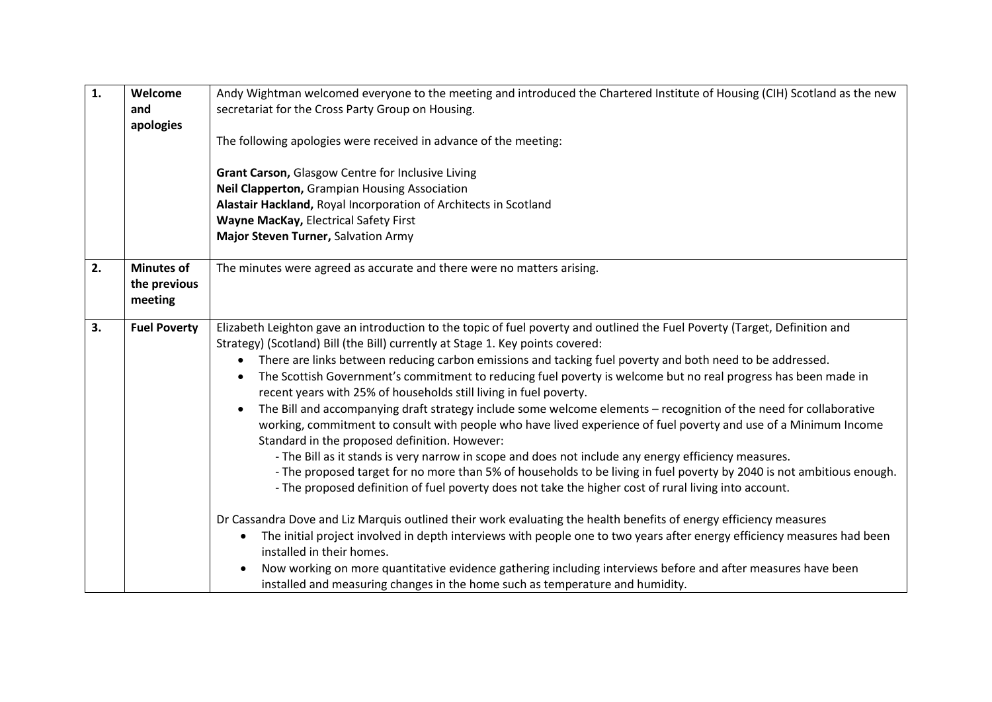| $\mathbf{1}$ . | Welcome             | Andy Wightman welcomed everyone to the meeting and introduced the Chartered Institute of Housing (CIH) Scotland as the new           |
|----------------|---------------------|--------------------------------------------------------------------------------------------------------------------------------------|
|                | and                 | secretariat for the Cross Party Group on Housing.                                                                                    |
|                | apologies           |                                                                                                                                      |
|                |                     | The following apologies were received in advance of the meeting:                                                                     |
|                |                     |                                                                                                                                      |
|                |                     | Grant Carson, Glasgow Centre for Inclusive Living                                                                                    |
|                |                     | Neil Clapperton, Grampian Housing Association                                                                                        |
|                |                     | Alastair Hackland, Royal Incorporation of Architects in Scotland                                                                     |
|                |                     | Wayne MacKay, Electrical Safety First                                                                                                |
|                |                     | Major Steven Turner, Salvation Army                                                                                                  |
|                |                     |                                                                                                                                      |
| 2.             | <b>Minutes of</b>   | The minutes were agreed as accurate and there were no matters arising.                                                               |
|                | the previous        |                                                                                                                                      |
|                | meeting             |                                                                                                                                      |
|                |                     |                                                                                                                                      |
| 3.             | <b>Fuel Poverty</b> | Elizabeth Leighton gave an introduction to the topic of fuel poverty and outlined the Fuel Poverty (Target, Definition and           |
|                |                     | Strategy) (Scotland) Bill (the Bill) currently at Stage 1. Key points covered:                                                       |
|                |                     | There are links between reducing carbon emissions and tacking fuel poverty and both need to be addressed.<br>$\bullet$               |
|                |                     | The Scottish Government's commitment to reducing fuel poverty is welcome but no real progress has been made in                       |
|                |                     | recent years with 25% of households still living in fuel poverty.                                                                    |
|                |                     | The Bill and accompanying draft strategy include some welcome elements - recognition of the need for collaborative                   |
|                |                     | working, commitment to consult with people who have lived experience of fuel poverty and use of a Minimum Income                     |
|                |                     | Standard in the proposed definition. However:                                                                                        |
|                |                     | - The Bill as it stands is very narrow in scope and does not include any energy efficiency measures.                                 |
|                |                     | - The proposed target for no more than 5% of households to be living in fuel poverty by 2040 is not ambitious enough.                |
|                |                     | - The proposed definition of fuel poverty does not take the higher cost of rural living into account.                                |
|                |                     | Dr Cassandra Dove and Liz Marquis outlined their work evaluating the health benefits of energy efficiency measures                   |
|                |                     | The initial project involved in depth interviews with people one to two years after energy efficiency measures had been<br>$\bullet$ |
|                |                     | installed in their homes.                                                                                                            |
|                |                     | Now working on more quantitative evidence gathering including interviews before and after measures have been<br>$\bullet$            |
|                |                     | installed and measuring changes in the home such as temperature and humidity.                                                        |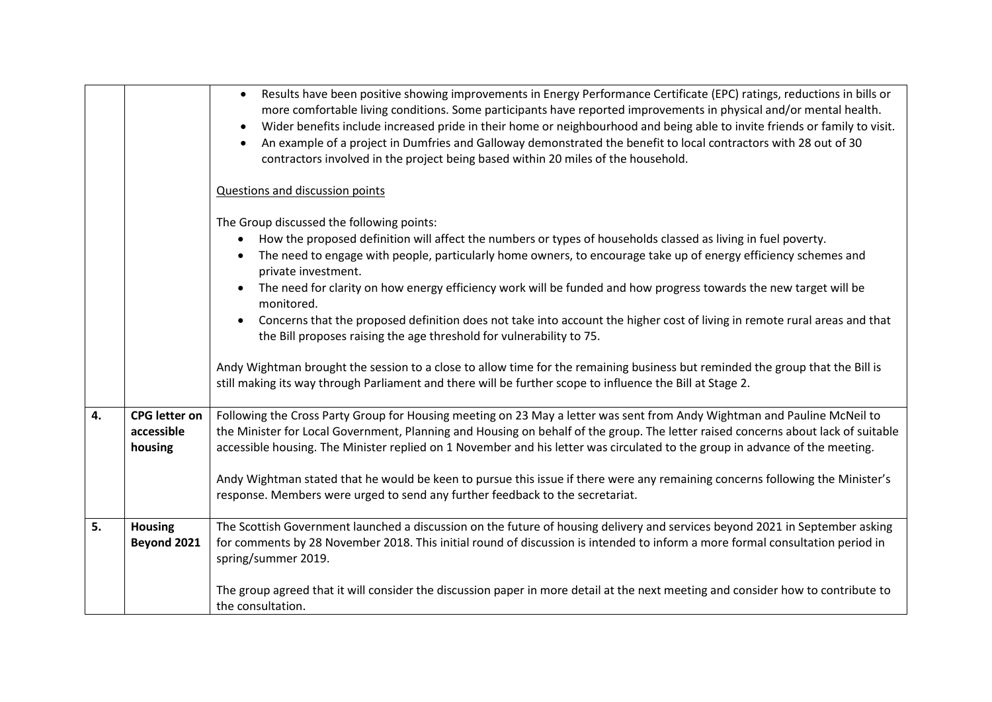|    |                                               | Results have been positive showing improvements in Energy Performance Certificate (EPC) ratings, reductions in bills or<br>$\bullet$<br>more comfortable living conditions. Some participants have reported improvements in physical and/or mental health.<br>Wider benefits include increased pride in their home or neighbourhood and being able to invite friends or family to visit.<br>An example of a project in Dumfries and Galloway demonstrated the benefit to local contractors with 28 out of 30<br>contractors involved in the project being based within 20 miles of the household.                                                                                                                                                                                          |
|----|-----------------------------------------------|--------------------------------------------------------------------------------------------------------------------------------------------------------------------------------------------------------------------------------------------------------------------------------------------------------------------------------------------------------------------------------------------------------------------------------------------------------------------------------------------------------------------------------------------------------------------------------------------------------------------------------------------------------------------------------------------------------------------------------------------------------------------------------------------|
|    |                                               | Questions and discussion points                                                                                                                                                                                                                                                                                                                                                                                                                                                                                                                                                                                                                                                                                                                                                            |
|    |                                               | The Group discussed the following points:<br>How the proposed definition will affect the numbers or types of households classed as living in fuel poverty.<br>$\bullet$<br>The need to engage with people, particularly home owners, to encourage take up of energy efficiency schemes and<br>private investment.<br>The need for clarity on how energy efficiency work will be funded and how progress towards the new target will be<br>monitored.<br>Concerns that the proposed definition does not take into account the higher cost of living in remote rural areas and that<br>the Bill proposes raising the age threshold for vulnerability to 75.<br>Andy Wightman brought the session to a close to allow time for the remaining business but reminded the group that the Bill is |
|    |                                               | still making its way through Parliament and there will be further scope to influence the Bill at Stage 2.                                                                                                                                                                                                                                                                                                                                                                                                                                                                                                                                                                                                                                                                                  |
| 4. | <b>CPG</b> letter on<br>accessible<br>housing | Following the Cross Party Group for Housing meeting on 23 May a letter was sent from Andy Wightman and Pauline McNeil to<br>the Minister for Local Government, Planning and Housing on behalf of the group. The letter raised concerns about lack of suitable<br>accessible housing. The Minister replied on 1 November and his letter was circulated to the group in advance of the meeting.<br>Andy Wightman stated that he would be keen to pursue this issue if there were any remaining concerns following the Minister's<br>response. Members were urged to send any further feedback to the secretariat.                                                                                                                                                                            |
| 5. | <b>Housing</b><br>Beyond 2021                 | The Scottish Government launched a discussion on the future of housing delivery and services beyond 2021 in September asking<br>for comments by 28 November 2018. This initial round of discussion is intended to inform a more formal consultation period in<br>spring/summer 2019.                                                                                                                                                                                                                                                                                                                                                                                                                                                                                                       |
|    |                                               | The group agreed that it will consider the discussion paper in more detail at the next meeting and consider how to contribute to<br>the consultation.                                                                                                                                                                                                                                                                                                                                                                                                                                                                                                                                                                                                                                      |